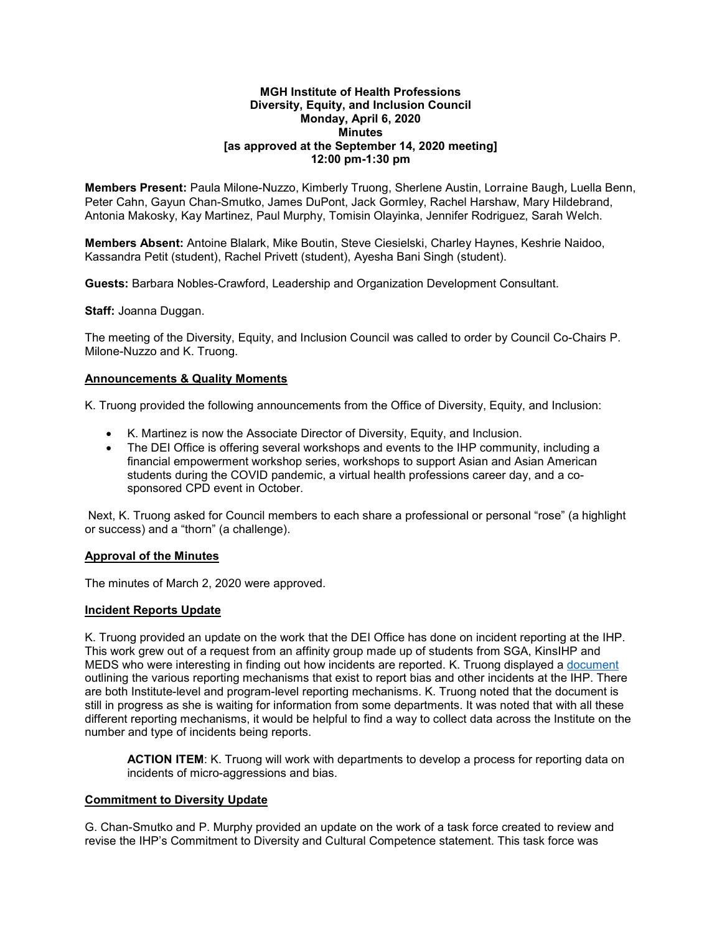#### **MGH Institute of Health Professions Diversity, Equity, and Inclusion Council Monday, April 6, 2020 Minutes [as approved at the September 14, 2020 meeting] 12:00 pm-1:30 pm**

**Members Present:** Paula Milone-Nuzzo, Kimberly Truong, Sherlene Austin, Lorraine Baugh, Luella Benn, Peter Cahn, Gayun Chan-Smutko, James DuPont, Jack Gormley, Rachel Harshaw, Mary Hildebrand, Antonia Makosky, Kay Martinez, Paul Murphy, Tomisin Olayinka, Jennifer Rodriguez, Sarah Welch.

**Members Absent:** Antoine Blalark, Mike Boutin, Steve Ciesielski, Charley Haynes, Keshrie Naidoo, Kassandra Petit (student), Rachel Privett (student), Ayesha Bani Singh (student).

**Guests:** Barbara Nobles-Crawford, Leadership and Organization Development Consultant.

**Staff:** Joanna Duggan.

The meeting of the Diversity, Equity, and Inclusion Council was called to order by Council Co-Chairs P. Milone-Nuzzo and K. Truong.

### **Announcements & Quality Moments**

K. Truong provided the following announcements from the Office of Diversity, Equity, and Inclusion:

- K. Martinez is now the Associate Director of Diversity, Equity, and Inclusion.
- The DEI Office is offering several workshops and events to the IHP community, including a financial empowerment workshop series, workshops to support Asian and Asian American students during the COVID pandemic, a virtual health professions career day, and a cosponsored CPD event in October.

Next, K. Truong asked for Council members to each share a professional or personal "rose" (a highlight or success) and a "thorn" (a challenge).

### **Approval of the Minutes**

The minutes of March 2, 2020 were approved.

### **Incident Reports Update**

K. Truong provided an update on the work that the DEI Office has done on incident reporting at the IHP. This work grew out of a request from an affinity group made up of students from SGA, KinsIHP and MEDS who were interesting in finding out how incidents are reported. K. Truong displayed a document outlining the various reporting mechanisms that exist to report bias and other incidents at the IHP. There are both Institute-level and program-level reporting mechanisms. K. Truong noted that the document is still in progress as she is waiting for information from some departments. It was noted that with all these different reporting mechanisms, it would be helpful to find a way to collect data across the Institute on the number and type of incidents being reports.

**ACTION ITEM:** K. Truong will work with departments to develop a process for reporting data on incidents of micro-aggressions and bias.

### **Commitment to Diversity Update**

G. Chan-Smutko and P. Murphy provided an update on the work of a task force created to review and revise the IHP's Commitment to Diversity and Cultural Competence statement. This task force was